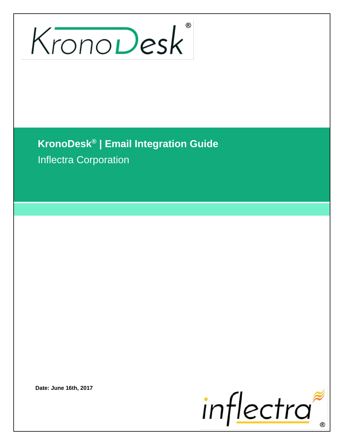# KronoDesk

**KronoDesk® | Email Integration Guide** Inflectra Corporation

**Date: June 16th, 2017**

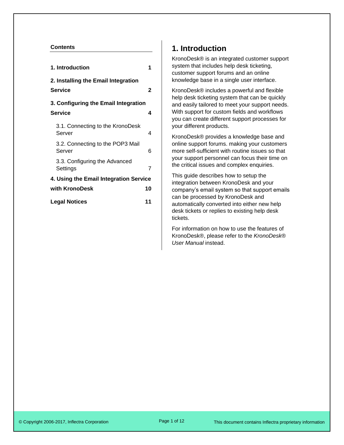### **Contents**

| 1. Introduction                                       |    |  |
|-------------------------------------------------------|----|--|
| 2. Installing the Email Integration<br><b>Service</b> | 2  |  |
| 3. Configuring the Email Integration                  |    |  |
| <b>Service</b>                                        | 4  |  |
| 3.1. Connecting to the KronoDesk<br>Server            | 4  |  |
| 3.2. Connecting to the POP3 Mail<br>Server            | 6  |  |
| 3.3. Configuring the Advanced<br>Settings             | 7  |  |
| 4. Using the Email Integration Service                |    |  |
| with KronoDesk                                        | 10 |  |
| <b>Legal Notices</b>                                  | 11 |  |

# <span id="page-1-0"></span>**1. Introduction**

KronoDesk® is an integrated customer support system that includes help desk ticketing, customer support forums and an online knowledge base in a single user interface.

KronoDesk® includes a powerful and flexible help desk ticketing system that can be quickly and easily tailored to meet your support needs. With support for custom fields and workflows you can create different support processes for your different products.

KronoDesk® provides a knowledge base and online support forums. making your customers more self-sufficient with routine issues so that your support personnel can focus their time on the critical issues and complex enquiries.

This guide describes how to setup the integration between KronoDesk and your company's email system so that support emails can be processed by KronoDesk and automatically converted into either new help desk tickets or replies to existing help desk tickets.

For information on how to use the features of KronoDesk®, please refer to the *KronoDesk*® *User Manual* instead.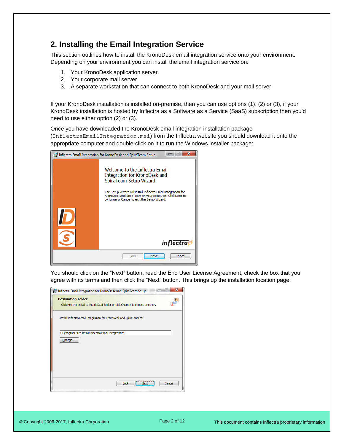# <span id="page-2-0"></span>**2. Installing the Email Integration Service**

This section outlines how to install the KronoDesk email integration service onto your environment. Depending on your environment you can install the email integration service on:

- 1. Your KronoDesk application server
- 2. Your corporate mail server
- 3. A separate workstation that can connect to both KronoDesk and your mail server

If your KronoDesk installation is installed on-premise, then you can use options (1), (2) or (3), if your KronoDesk installation is hosted by Inflectra as a Software as a Service (SaaS) subscription then you'd need to use either option (2) or (3).

Once you have downloaded the KronoDesk email integration installation package (InflectraEmailIntegration.msi) from the Inflectra website you should download it onto the appropriate computer and double-click on it to run the Windows installer package:

|                               | х<br>al m<br>Inflectra Email Integration for KronoDesk and SpiraTeam Setup                                                                                               |  |
|-------------------------------|--------------------------------------------------------------------------------------------------------------------------------------------------------------------------|--|
|                               | Welcome to the Inflectra Email<br>Integration for KronoDesk and<br>SpiraTeam Setup Wizard                                                                                |  |
|                               | The Setup Wizard will install Inflectra Email Integration for<br>KronoDesk and SpiraTeam on your computer. Click Next to<br>continue or Cancel to exit the Setup Wizard. |  |
|                               |                                                                                                                                                                          |  |
|                               | <i>inflectra</i>                                                                                                                                                         |  |
| Cancel<br>Next<br><b>Back</b> |                                                                                                                                                                          |  |

You should click on the "Next" button, read the End User License Agreement, check the box that you agree with its terms and then click the "Next" button. This brings up the installation location page:

|                           | Inflectra Email Integration for KronoDesk and SpiraTeam Setup                  |             |      |        |
|---------------------------|--------------------------------------------------------------------------------|-------------|------|--------|
| <b>Destination Folder</b> | Click Next to install to the default folder or click Change to choose another. |             |      |        |
|                           | Install Inflectra Email Integration for KronoDesk and SpiraTeam to:            |             |      |        |
| Change                    | C:\Program Files (x86)\Inflectra\Email Integration\                            |             |      |        |
|                           |                                                                                |             |      |        |
|                           |                                                                                | <b>Back</b> | Next | Cancel |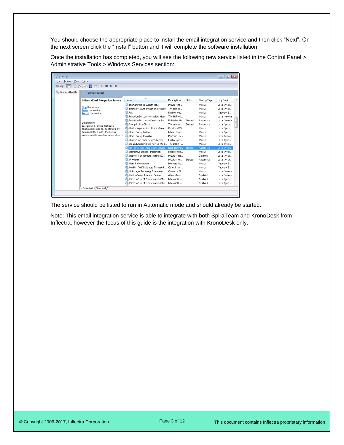You should choose the appropriate place to install the email integration service and then click "Next". On the next screen click the "Install" button and it will complete the software installation.

Once the installation has completed, you will see the following new service listed in the Control Panel > Administrative Tools > Windows Services section:

| <b>Services</b>               |                                                                                                                                                                                                                              |                                                                                                                                                                                                                                                                                                                                                                               |                                                                                                                                                       |                    |                                                                                                                  | $\circ$ $\circ$ $x$                                                                                                                                                   |  |
|-------------------------------|------------------------------------------------------------------------------------------------------------------------------------------------------------------------------------------------------------------------------|-------------------------------------------------------------------------------------------------------------------------------------------------------------------------------------------------------------------------------------------------------------------------------------------------------------------------------------------------------------------------------|-------------------------------------------------------------------------------------------------------------------------------------------------------|--------------------|------------------------------------------------------------------------------------------------------------------|-----------------------------------------------------------------------------------------------------------------------------------------------------------------------|--|
| <b>Eile</b><br>Action<br>View | Help                                                                                                                                                                                                                         |                                                                                                                                                                                                                                                                                                                                                                               |                                                                                                                                                       |                    |                                                                                                                  |                                                                                                                                                                       |  |
|                               | 2<br><b>ID</b>                                                                                                                                                                                                               |                                                                                                                                                                                                                                                                                                                                                                               |                                                                                                                                                       |                    |                                                                                                                  |                                                                                                                                                                       |  |
| Services (Local)              | Services (Local)<br>o                                                                                                                                                                                                        |                                                                                                                                                                                                                                                                                                                                                                               |                                                                                                                                                       |                    |                                                                                                                  |                                                                                                                                                                       |  |
|                               | <b>Inflectra Email Integration Service</b>                                                                                                                                                                                   | Name                                                                                                                                                                                                                                                                                                                                                                          | Description                                                                                                                                           | <b>Status</b>      | Startup Type                                                                                                     | Log On As                                                                                                                                                             |  |
|                               | Stop the service<br>Pause the service<br>Restart the service<br>Description:<br>Background service that polls<br>configured email accounts for new<br>items and then loads them into<br>instances of KronoDesk or SpiraTeam. | C. Encrypting File System (EFS)<br>C. Extensible Authentication Protocol<br>Ch Fax<br>C. Function Discovery Provider Host<br>C. Function Discovery Resource Pu<br><b>C</b> , Group Policy Client<br>C. Health Key and Certificate Mana<br>C. HomeGroup Listener<br>C. HomeGroup Provider<br>C. Human Interface Device Access<br>C. IKE and AuthIP IPsec Keying Mod The IKEEXT | Provides th<br>The Extensi<br>Enables you<br>The FDPHO<br>Publishes th<br>The service<br>Provides X.5<br>Makes local<br>Performs ne<br>Enables gen    | Started<br>Started | Manual<br>Manual<br>Manual<br>Manual<br>Automatic<br>Automatic<br>Manual<br>Manual<br>Manual<br>Manual<br>Manual | Local Syste<br>Local Syste<br>Network S<br>Local Service<br>Local Service<br>Local Syste<br>Local Syste<br>Local Syste<br>Local Service<br>Local Syste<br>Local Syste |  |
|                               |                                                                                                                                                                                                                              | <b>Calinflectra Email Integration Service</b><br>Cl. Interactive Services Detection<br>C. Internet Connection Sharing (ICS)<br><b>O.</b> IP Helper<br>C. IPsec Policy Agent<br>C. KtmRm for Distributed Transacti<br>C. Link-Layer Topology Discovery<br>C. Media Center Extender Service<br>Microsoft .NET Framework NGE<br>Microsoft .NET Framework NGE                     | Background Started<br>Enables use<br>Provides ne<br>Provides tu<br>Internet Pro<br>Coordinates<br>Creates a N<br>Allows Med<br>Microsoft<br>Microsoft | Started            | Automatic<br>Manual<br>Disabled<br>Automatic<br>Manual<br>Manual<br>Manual<br>Disabled<br>Disabled<br>Disabled   | Local Syste<br>Local Syste<br>Local Syste<br>Local Syste<br>Network S<br>Network S<br>Local Service<br>Local Service<br>Local Syste<br>Local Syste                    |  |
|                               | Extended / Standard                                                                                                                                                                                                          |                                                                                                                                                                                                                                                                                                                                                                               |                                                                                                                                                       |                    |                                                                                                                  |                                                                                                                                                                       |  |

The service should be listed to run in Automatic mode and should already be started.

Note: This email integration service is able to integrate with both SpiraTeam and KronoDesk from Inflectra, however the focus of this guide is the integration with KronoDesk only.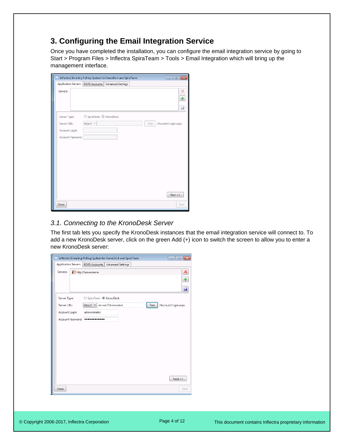# <span id="page-4-0"></span>**3. Configuring the Email Integration Service**

Once you have completed the installation, you can configure the email integration service by going to Start > Program Files > Inflectra SpiraTeam > Tools > Email Integration which will bring up the management interface.

| ⊽                 | Inflectra   Emailing Polling System for KronoDesk and SpiraTeam | $\overline{\mathbf{x}}$<br>$\overline{\phantom{a}}$ |
|-------------------|-----------------------------------------------------------------|-----------------------------------------------------|
|                   | Application Servers   POP3 Accounts   Advanced Settings         |                                                     |
| Servers:          |                                                                 | ×<br>♣<br>u                                         |
| Server Type:      | SpiraTeam <sup>O</sup> KronoDesk                                |                                                     |
| Server URL:       | http:// $-$                                                     | /Account/Login.aspx<br>Test                         |
| Account Login:    |                                                                 |                                                     |
| Account Password: |                                                                 |                                                     |
|                   |                                                                 |                                                     |
|                   |                                                                 | $Next$ $>$                                          |
| Close             |                                                                 | Save                                                |

### <span id="page-4-1"></span>*3.1. Connecting to the KronoDesk Server*

The first tab lets you specify the KronoDesk instances that the email integration service will connect to. To add a new KronoDesk server, click on the green Add (+) icon to switch the screen to allow you to enter a new KronoDesk server:

|                | Inflectra   Emailing Polling System for KronoDesk and SpiraTeam | $\overline{\mathbf{x}}$<br>-- 0 |
|----------------|-----------------------------------------------------------------|---------------------------------|
|                | Application Servers   POP3 Accounts  <br>Advanced Settings      |                                 |
| Servers:       | <b>D</b> http://servername                                      | ×<br>♣                          |
|                |                                                                 |                                 |
|                |                                                                 | u                               |
| Server Type:   | SpiraTeam <sup>O</sup> KronoDesk                                |                                 |
| Server URL:    | http:// vm-win7/kronodesk                                       | /Account/Login.aspx<br>Test     |
| Account Login: | administrator                                                   |                                 |
|                | Account Password: ************                                  |                                 |
|                |                                                                 |                                 |
|                |                                                                 |                                 |
|                |                                                                 |                                 |
|                |                                                                 |                                 |
|                |                                                                 |                                 |
|                |                                                                 |                                 |
|                |                                                                 |                                 |
|                |                                                                 | Next                            |
| Close          |                                                                 | Save                            |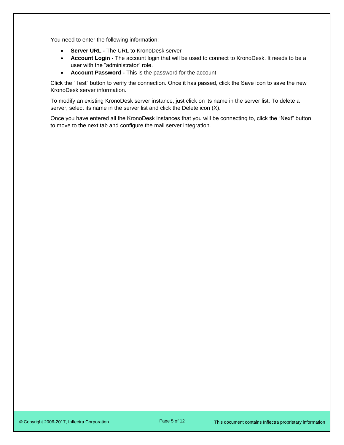You need to enter the following information:

- **Server URL -** The URL to KronoDesk server
- **Account Login -** The account login that will be used to connect to KronoDesk. It needs to be a user with the "administrator" role.
- **Account Password -** This is the password for the account

Click the "Test" button to verify the connection. Once it has passed, click the Save icon to save the new KronoDesk server information.

To modify an existing KronoDesk server instance, just click on its name in the server list. To delete a server, select its name in the server list and click the Delete icon (X).

Once you have entered all the KronoDesk instances that you will be connecting to, click the "Next" button to move to the next tab and configure the mail server integration.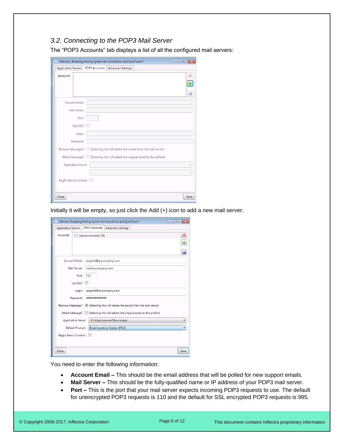### <span id="page-6-0"></span>*3.2. Connecting to the POP3 Mail Server*

The "POP3 Accounts" tab displays a list of all the configured mail servers:

|                      |                |               | Inflectra   Emailing Polling System for KronoDesk and SpiraTeam * |                                                                                   | $\begin{array}{c c c c c c} \hline \multicolumn{3}{c }{\mathbf{C}} & \multicolumn{3}{c }{\mathbf{R}} \end{array}$ |
|----------------------|----------------|---------------|-------------------------------------------------------------------|-----------------------------------------------------------------------------------|-------------------------------------------------------------------------------------------------------------------|
| Application Servers  |                | POP3 Accounts | Advanced Settings                                                 |                                                                                   |                                                                                                                   |
| Accounts:            |                |               |                                                                   |                                                                                   | ×<br>H                                                                                                            |
|                      |                |               |                                                                   |                                                                                   | u                                                                                                                 |
|                      | Account Email: |               |                                                                   |                                                                                   |                                                                                                                   |
|                      | Mail Server:   |               |                                                                   |                                                                                   |                                                                                                                   |
|                      | Port:          |               |                                                                   |                                                                                   |                                                                                                                   |
|                      | Use SSL?       |               |                                                                   |                                                                                   |                                                                                                                   |
|                      | Login:         |               |                                                                   |                                                                                   |                                                                                                                   |
|                      | Password:      |               |                                                                   |                                                                                   |                                                                                                                   |
|                      |                |               |                                                                   | Remove Messages?   (Selecting this will delete the emails from the mail server)   |                                                                                                                   |
|                      |                |               |                                                                   | Attach Message?   (Selecting this will attach the original email to the artifact) |                                                                                                                   |
| Application Server   |                |               |                                                                   |                                                                                   |                                                                                                                   |
|                      |                |               |                                                                   |                                                                                   |                                                                                                                   |
| RegEx Match Content: |                |               |                                                                   |                                                                                   |                                                                                                                   |
| Close                |                |               |                                                                   |                                                                                   | Save                                                                                                              |

Initially it will be empty, so just click the Add (+) icon to add a new mail server:

|                                                  | Inflectra   Emailing Polling System for KronoDesk and SpiraTeam *<br>- 0          |  |  |  |
|--------------------------------------------------|-----------------------------------------------------------------------------------|--|--|--|
| Application Servers                              | POP3 Accounts<br>Advanced Settings                                                |  |  |  |
| Accounts:                                        | ×<br>Inewserver.local:1101<br>♣                                                   |  |  |  |
|                                                  | Ы                                                                                 |  |  |  |
|                                                  | Account Email:<br>support@mycompany.com                                           |  |  |  |
|                                                  | Mail Server:<br>mail.mycompany.com                                                |  |  |  |
|                                                  | Port:<br>110                                                                      |  |  |  |
|                                                  | Use SSL?                                                                          |  |  |  |
|                                                  | support@mycompany.com<br>Login:                                                   |  |  |  |
|                                                  | Password:<br>                                                                     |  |  |  |
|                                                  | Remove Messages? V (Selecting this will delete the emails from the mail server)   |  |  |  |
|                                                  | Attach Message?   (Selecting this will attach the original email to the artifact) |  |  |  |
|                                                  | Application Server<br>http://vm-win7/kronodesk                                    |  |  |  |
| Book Inventory System [PR:2]<br>Default Product: |                                                                                   |  |  |  |
| RegEx Match Content:                             |                                                                                   |  |  |  |
|                                                  |                                                                                   |  |  |  |
| Close                                            | Save                                                                              |  |  |  |

You need to enter the following information:

- **Account Email –** This should be the email address that will be polled for new support emails.
- **Mail Server –** This should be the fully-qualified name or IP address of your POP3 mail server.
- **Port –** This is the port that your mail server expects incoming POP3 requests to use. The default for unencrypted POP3 requests is 110 and the default for SSL encrypted POP3 requests is 995.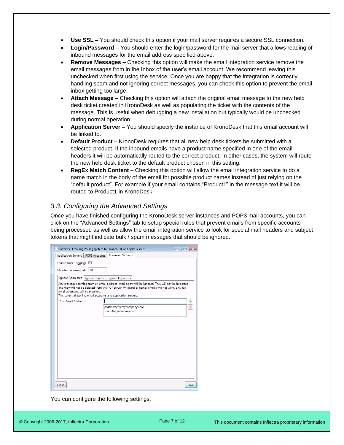- **Use SSL –** You should check this option if your mail server requires a secure SSL connection.
- **Login/Password –** You should enter the login/password for the mail server that allows reading of inbound messages for the email address specified above.
- **Remove Messages –** Checking this option will make the email integration service remove the email messages from in the Inbox of the user's email account. We recommend leaving this unchecked when first using the service. Once you are happy that the integration is correctly handling spam and not ignoring correct messages, you can check this option to prevent the email inbox getting too large.
- **Attach Message –** Checking this option will attach the original email message to the new help desk ticket created in KronoDesk as well as populating the ticket with the contents of the message. This is useful when debugging a new installation but typically would be unchecked during normal operation.
- **Application Server –** You should specify the instance of KronoDesk that this email account will be linked to.
- **Default Product** KronoDesk requires that all new help desk tickets be submitted with a selected product. If the inbound emails have a product name specified in one of the email headers it will be automatically routed to the correct product. In other cases, the system will route the new help desk ticket to the default product chosen in this setting.
- **RegEx Match Content** Checking this option will allow the email integration service to do a name match in the body of the email for possible product names instead of just relying on the "default product". For example if your email contains "Product1" in the message text it will be routed to Product1 in KronoDesk.

## <span id="page-7-0"></span>*3.3. Configuring the Advanced Settings*

Once you have finished configuring the KronoDesk server instances and POP3 mail accounts, you can click on the "Advanced Settings" tab to setup special rules that prevent emails from specific accounts being processed as well as allow the email integration service to look for special mail headers and subject tokens that might indicate bulk / spam messages that should be ignored.

| Inflectra   Emailing Polling System for KronoDesk and SpiraTeam *                                   | $\Box$                                                                                                                                                                                                      | E    |
|-----------------------------------------------------------------------------------------------------|-------------------------------------------------------------------------------------------------------------------------------------------------------------------------------------------------------------|------|
| POP3 Accounts<br>Application Servers                                                                | Advanced Settings                                                                                                                                                                                           |      |
| Enable Trace Logging:                                                                               |                                                                                                                                                                                                             |      |
| Minutes between polls: 10                                                                           |                                                                                                                                                                                                             |      |
| Ignore Addresses   Ignore Headers   Ignore Keywords                                                 |                                                                                                                                                                                                             |      |
| email addresses will be matched.<br>This covers all polling email accounts and application servers. | Any messages coming from an email address listed below will be ignored. They will not be imported<br>and they will not be deleted from the POP server. Wildcard or partial entries will not work, only full |      |
| Add Email Address:                                                                                  |                                                                                                                                                                                                             | ⊕    |
|                                                                                                     | postmaster@mycompany.com<br>spam@mycompany.com                                                                                                                                                              |      |
|                                                                                                     |                                                                                                                                                                                                             |      |
|                                                                                                     |                                                                                                                                                                                                             |      |
|                                                                                                     |                                                                                                                                                                                                             |      |
|                                                                                                     |                                                                                                                                                                                                             |      |
|                                                                                                     |                                                                                                                                                                                                             |      |
|                                                                                                     |                                                                                                                                                                                                             |      |
|                                                                                                     |                                                                                                                                                                                                             |      |
|                                                                                                     |                                                                                                                                                                                                             |      |
|                                                                                                     |                                                                                                                                                                                                             |      |
|                                                                                                     |                                                                                                                                                                                                             |      |
| Close                                                                                               |                                                                                                                                                                                                             | Save |

You can configure the following settings: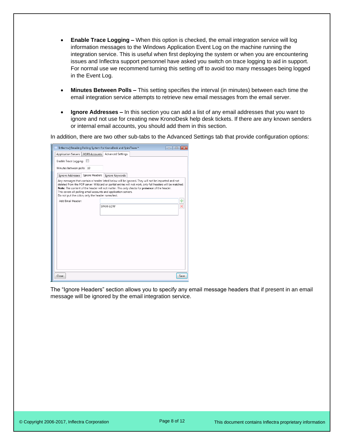- **Enable Trace Logging –** When this option is checked, the email integration service will log information messages to the Windows Application Event Log on the machine running the integration service. This is useful when first deploying the system or when you are encountering issues and Inflectra support personnel have asked you switch on trace logging to aid in support. For normal use we recommend turning this setting off to avoid too many messages being logged in the Event Log.
- **Minutes Between Polls –** This setting specifies the interval (in minutes) between each time the email integration service attempts to retrieve new email messages from the email server.
- **Ignore Addresses –** In this section you can add a list of any email addresses that you want to ignore and not use for creating new KronoDesk help desk tickets. If there are any known senders or internal email accounts, you should add them in this section.

In addition, there are two other sub-tabs to the Advanced Settings tab that provide configuration options:

| Inflectra   Emailing Polling System for KronoDesk and SpiraTeam * |                                                                 |                                                                                                                                                                                                                                                                                                                   | 同<br>-- |
|-------------------------------------------------------------------|-----------------------------------------------------------------|-------------------------------------------------------------------------------------------------------------------------------------------------------------------------------------------------------------------------------------------------------------------------------------------------------------------|---------|
| Application Servers   POP3 Accounts                               | Advanced Settings                                               |                                                                                                                                                                                                                                                                                                                   |         |
| Enable Trace Logging:                                             |                                                                 |                                                                                                                                                                                                                                                                                                                   |         |
| Minutes between polls: 10                                         |                                                                 |                                                                                                                                                                                                                                                                                                                   |         |
| Ignore Addresses   Ignore Headers   Ignore Keywords               |                                                                 |                                                                                                                                                                                                                                                                                                                   |         |
| Do not put the colon, only the header name/text.                  | This covers all polling email accounts and application servers. | Any messages that contain a header listed below will be ignored. They will not be imported and not<br>deleted from the POP server. Wildcard or partial entries will not work, only full headers will be matched.<br>Note: The content of the header will not matter. This only checks for presence of the header. |         |
| Add Email Header:                                                 |                                                                 |                                                                                                                                                                                                                                                                                                                   | ÷       |
|                                                                   | SPAM-LOW                                                        |                                                                                                                                                                                                                                                                                                                   |         |
|                                                                   |                                                                 |                                                                                                                                                                                                                                                                                                                   |         |
|                                                                   |                                                                 |                                                                                                                                                                                                                                                                                                                   |         |
|                                                                   |                                                                 |                                                                                                                                                                                                                                                                                                                   |         |
|                                                                   |                                                                 |                                                                                                                                                                                                                                                                                                                   |         |
|                                                                   |                                                                 |                                                                                                                                                                                                                                                                                                                   |         |
|                                                                   |                                                                 |                                                                                                                                                                                                                                                                                                                   |         |
|                                                                   |                                                                 |                                                                                                                                                                                                                                                                                                                   |         |
|                                                                   |                                                                 |                                                                                                                                                                                                                                                                                                                   |         |
|                                                                   |                                                                 |                                                                                                                                                                                                                                                                                                                   |         |
| Close                                                             |                                                                 |                                                                                                                                                                                                                                                                                                                   | Save    |
|                                                                   |                                                                 |                                                                                                                                                                                                                                                                                                                   |         |

The "Ignore Headers" section allows you to specify any email message headers that if present in an email message will be ignored by the email integration service.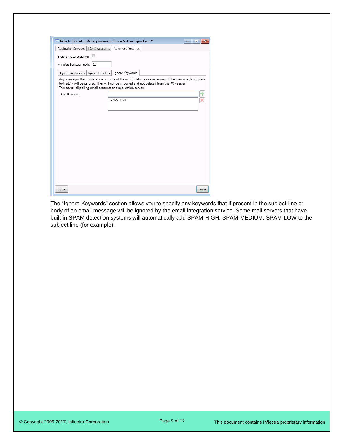| Inflectra   Emailing Polling System for KronoDesk and SpiraTeam *                                                                                               | - -<br>$\overline{\mathbf{x}}$                                                                        |
|-----------------------------------------------------------------------------------------------------------------------------------------------------------------|-------------------------------------------------------------------------------------------------------|
| Application Servers   POP3 Accounts                                                                                                                             | Advanced Settings                                                                                     |
| Enable Trace Logging:                                                                                                                                           |                                                                                                       |
| Minutes between polls: 10                                                                                                                                       |                                                                                                       |
| Ignore Headers   Ignore Keywords<br>Ignore Addresses                                                                                                            |                                                                                                       |
| text, etc) - will be ignored. They will not be imported and not deleted from the POP server.<br>This covers all polling email accounts and application servers. | Any messages that contain one or more of the words below - in any version of the message (html, plain |
| Add Keyword:                                                                                                                                                    | ♣                                                                                                     |
| SPAM-HIGH                                                                                                                                                       | ×                                                                                                     |
|                                                                                                                                                                 |                                                                                                       |
|                                                                                                                                                                 |                                                                                                       |
|                                                                                                                                                                 |                                                                                                       |
|                                                                                                                                                                 |                                                                                                       |
|                                                                                                                                                                 |                                                                                                       |
|                                                                                                                                                                 |                                                                                                       |
|                                                                                                                                                                 |                                                                                                       |
|                                                                                                                                                                 |                                                                                                       |
|                                                                                                                                                                 |                                                                                                       |
|                                                                                                                                                                 |                                                                                                       |
|                                                                                                                                                                 |                                                                                                       |
| Close                                                                                                                                                           | Save                                                                                                  |

The "Ignore Keywords" section allows you to specify any keywords that if present in the subject-line or body of an email message will be ignored by the email integration service. Some mail servers that have built-in SPAM detection systems will automatically add SPAM-HIGH, SPAM-MEDIUM, SPAM-LOW to the subject line (for example).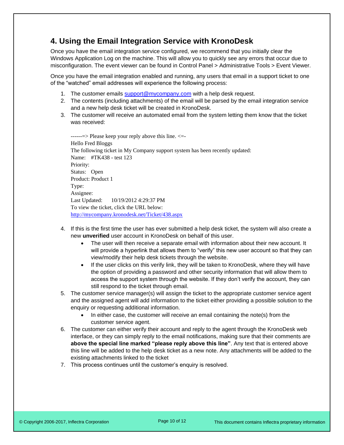# <span id="page-10-0"></span>**4. Using the Email Integration Service with KronoDesk**

Once you have the email integration service configured, we recommend that you initially clear the Windows Application Log on the machine. This will allow you to quickly see any errors that occur due to misconfiguration. The event viewer can be found in Control Panel > Administrative Tools > Event Viewer.

Once you have the email integration enabled and running, any users that email in a support ticket to one of the "watched" email addresses will experience the following process:

- 1. The customer emails [support@mycompany.com](mailto:support@mycompany.com) with a help desk request.
- 2. The contents (including attachments) of the email will be parsed by the email integration service and a new help desk ticket will be created in KronoDesk.
- 3. The customer will receive an automated email from the system letting them know that the ticket was received:

 $\rightarrow$  Please keep your reply above this line.  $\leftarrow$ Hello Fred Bloggs The following ticket in My Company support system has been recently updated: Name: #TK438 - test 123 Priority: Status: Open Product: Product 1 Type: Assignee: Last Updated: 10/19/2012 4:29:37 PM To view the ticket, click the URL below: <http://mycompany.kronodesk.net/Ticket/438.aspx>

- 4. If this is the first time the user has ever submitted a help desk ticket, the system will also create a new **unverified** user account in KronoDesk on behalf of this user.
	- The user will then receive a separate email with information about their new account. It will provide a hyperlink that allows them to "verify" this new user account so that they can view/modify their help desk tickets through the website.
	- If the user clicks on this verify link, they will be taken to KronoDesk, where they will have the option of providing a password and other security information that will allow them to access the support system through the website. If they don't verify the account, they can still respond to the ticket through email.
- 5. The customer service manager(s) will assign the ticket to the appropriate customer service agent and the assigned agent will add information to the ticket either providing a possible solution to the enquiry or requesting additional information.
	- In either case, the customer will receive an email containing the note(s) from the customer service agent.
- 6. The customer can either verify their account and reply to the agent through the KronoDesk web interface, or they can simply reply to the email notifications, making sure that their comments are **above the special line marked "please reply above this line"**. Any text that is entered above this line will be added to the help desk ticket as a new note. Any attachments will be added to the existing attachments linked to the ticket
- 7. This process continues until the customer's enquiry is resolved.